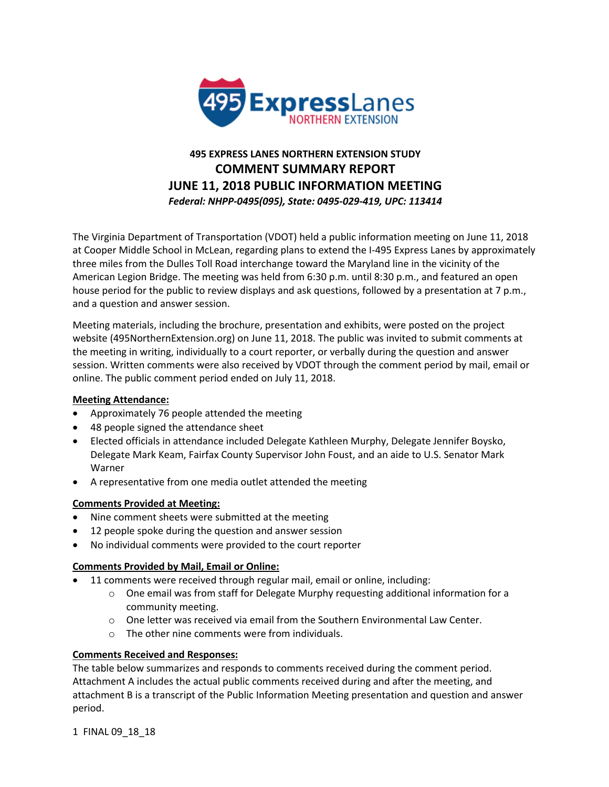

# **495 EXPRESS LANES NORTHERN EXTENSION STUDY COMMENT SUMMARY REPORT JUNE 11, 2018 PUBLIC INFORMATION MEETING** *Federal: NHPP-0495(095), State: 0495-029-419, UPC: 113414*

The Virginia Department of Transportation (VDOT) held a public information meeting on June 11, 2018 at Cooper Middle School in McLean, regarding plans to extend the I-495 Express Lanes by approximately three miles from the Dulles Toll Road interchange toward the Maryland line in the vicinity of the American Legion Bridge. The meeting was held from 6:30 p.m. until 8:30 p.m., and featured an open house period for the public to review displays and ask questions, followed by a presentation at 7 p.m., and a question and answer session.

Meeting materials, including the brochure, presentation and exhibits, were posted on the project website (495NorthernExtension.org) on June 11, 2018. The public was invited to submit comments at the meeting in writing, individually to a court reporter, or verbally during the question and answer session. Written comments were also received by VDOT through the comment period by mail, email or online. The public comment period ended on July 11, 2018.

# **Meeting Attendance:**

- Approximately 76 people attended the meeting
- 48 people signed the attendance sheet
- Elected officials in attendance included Delegate Kathleen Murphy, Delegate Jennifer Boysko, Delegate Mark Keam, Fairfax County Supervisor John Foust, and an aide to U.S. Senator Mark Warner
- A representative from one media outlet attended the meeting

# **Comments Provided at Meeting:**

- Nine comment sheets were submitted at the meeting
- 12 people spoke during the question and answer session
- No individual comments were provided to the court reporter

# **Comments Provided by Mail, Email or Online:**

- 11 comments were received through regular mail, email or online, including:
	- $\circ$  One email was from staff for Delegate Murphy requesting additional information for a community meeting.
	- $\circ$  One letter was received via email from the Southern Environmental Law Center.
	- o The other nine comments were from individuals.

# **Comments Received and Responses:**

The table below summarizes and responds to comments received during the comment period. Attachment A includes the actual public comments received during and after the meeting, and attachment B is a transcript of the Public Information Meeting presentation and question and answer period.

1 FINAL 09\_18\_18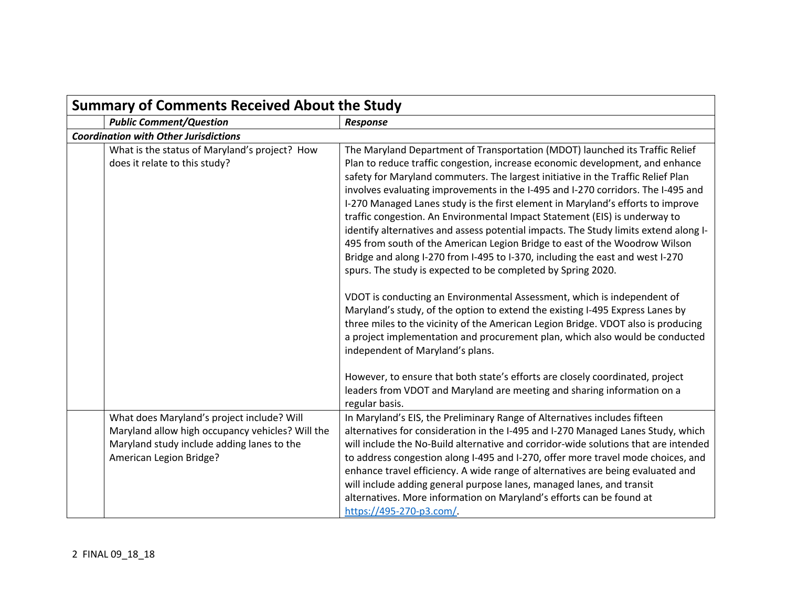| <b>Summary of Comments Received About the Study</b> |                                                                                                                                                                         |                                                                                                                                                                                                                                                                                                                                                                                                                                                                                                                                                                                                                                                                                                                                                                                                                                                                                                                                                                                                                                                                                                                                                                                                                                                                                     |
|-----------------------------------------------------|-------------------------------------------------------------------------------------------------------------------------------------------------------------------------|-------------------------------------------------------------------------------------------------------------------------------------------------------------------------------------------------------------------------------------------------------------------------------------------------------------------------------------------------------------------------------------------------------------------------------------------------------------------------------------------------------------------------------------------------------------------------------------------------------------------------------------------------------------------------------------------------------------------------------------------------------------------------------------------------------------------------------------------------------------------------------------------------------------------------------------------------------------------------------------------------------------------------------------------------------------------------------------------------------------------------------------------------------------------------------------------------------------------------------------------------------------------------------------|
|                                                     | <b>Public Comment/Question</b>                                                                                                                                          | Response                                                                                                                                                                                                                                                                                                                                                                                                                                                                                                                                                                                                                                                                                                                                                                                                                                                                                                                                                                                                                                                                                                                                                                                                                                                                            |
|                                                     | <b>Coordination with Other Jurisdictions</b>                                                                                                                            |                                                                                                                                                                                                                                                                                                                                                                                                                                                                                                                                                                                                                                                                                                                                                                                                                                                                                                                                                                                                                                                                                                                                                                                                                                                                                     |
|                                                     | What is the status of Maryland's project? How<br>does it relate to this study?                                                                                          | The Maryland Department of Transportation (MDOT) launched its Traffic Relief<br>Plan to reduce traffic congestion, increase economic development, and enhance<br>safety for Maryland commuters. The largest initiative in the Traffic Relief Plan<br>involves evaluating improvements in the I-495 and I-270 corridors. The I-495 and<br>I-270 Managed Lanes study is the first element in Maryland's efforts to improve<br>traffic congestion. An Environmental Impact Statement (EIS) is underway to<br>identify alternatives and assess potential impacts. The Study limits extend along I-<br>495 from south of the American Legion Bridge to east of the Woodrow Wilson<br>Bridge and along I-270 from I-495 to I-370, including the east and west I-270<br>spurs. The study is expected to be completed by Spring 2020.<br>VDOT is conducting an Environmental Assessment, which is independent of<br>Maryland's study, of the option to extend the existing I-495 Express Lanes by<br>three miles to the vicinity of the American Legion Bridge. VDOT also is producing<br>a project implementation and procurement plan, which also would be conducted<br>independent of Maryland's plans.<br>However, to ensure that both state's efforts are closely coordinated, project |
|                                                     |                                                                                                                                                                         | leaders from VDOT and Maryland are meeting and sharing information on a<br>regular basis.                                                                                                                                                                                                                                                                                                                                                                                                                                                                                                                                                                                                                                                                                                                                                                                                                                                                                                                                                                                                                                                                                                                                                                                           |
|                                                     | What does Maryland's project include? Will<br>Maryland allow high occupancy vehicles? Will the<br>Maryland study include adding lanes to the<br>American Legion Bridge? | In Maryland's EIS, the Preliminary Range of Alternatives includes fifteen<br>alternatives for consideration in the I-495 and I-270 Managed Lanes Study, which<br>will include the No-Build alternative and corridor-wide solutions that are intended<br>to address congestion along I-495 and I-270, offer more travel mode choices, and<br>enhance travel efficiency. A wide range of alternatives are being evaluated and<br>will include adding general purpose lanes, managed lanes, and transit<br>alternatives. More information on Maryland's efforts can be found at<br>https://495-270-p3.com/.                                                                                                                                                                                                                                                                                                                                                                                                                                                                                                                                                                                                                                                                            |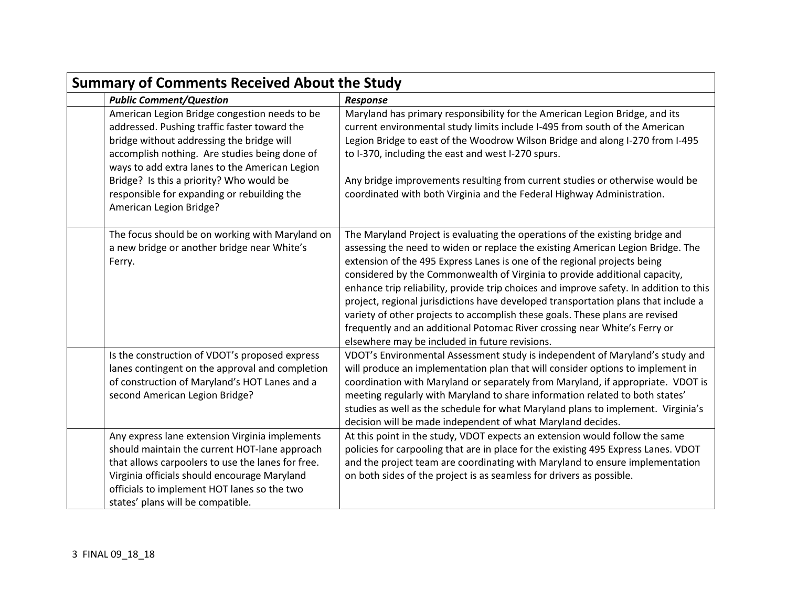| <b>Summary of Comments Received About the Study</b> |                                                                                                                                                                                                                                                                                           |                                                                                                                                                                                                                                                                                                                                                                                                                                                                                                                                                                                                                                                                                                                          |
|-----------------------------------------------------|-------------------------------------------------------------------------------------------------------------------------------------------------------------------------------------------------------------------------------------------------------------------------------------------|--------------------------------------------------------------------------------------------------------------------------------------------------------------------------------------------------------------------------------------------------------------------------------------------------------------------------------------------------------------------------------------------------------------------------------------------------------------------------------------------------------------------------------------------------------------------------------------------------------------------------------------------------------------------------------------------------------------------------|
|                                                     | <b>Public Comment/Question</b>                                                                                                                                                                                                                                                            | <b>Response</b>                                                                                                                                                                                                                                                                                                                                                                                                                                                                                                                                                                                                                                                                                                          |
|                                                     | American Legion Bridge congestion needs to be<br>addressed. Pushing traffic faster toward the<br>bridge without addressing the bridge will<br>accomplish nothing. Are studies being done of<br>ways to add extra lanes to the American Legion<br>Bridge? Is this a priority? Who would be | Maryland has primary responsibility for the American Legion Bridge, and its<br>current environmental study limits include I-495 from south of the American<br>Legion Bridge to east of the Woodrow Wilson Bridge and along I-270 from I-495<br>to I-370, including the east and west I-270 spurs.<br>Any bridge improvements resulting from current studies or otherwise would be                                                                                                                                                                                                                                                                                                                                        |
|                                                     | responsible for expanding or rebuilding the<br>American Legion Bridge?                                                                                                                                                                                                                    | coordinated with both Virginia and the Federal Highway Administration.                                                                                                                                                                                                                                                                                                                                                                                                                                                                                                                                                                                                                                                   |
|                                                     | The focus should be on working with Maryland on<br>a new bridge or another bridge near White's<br>Ferry.                                                                                                                                                                                  | The Maryland Project is evaluating the operations of the existing bridge and<br>assessing the need to widen or replace the existing American Legion Bridge. The<br>extension of the 495 Express Lanes is one of the regional projects being<br>considered by the Commonwealth of Virginia to provide additional capacity,<br>enhance trip reliability, provide trip choices and improve safety. In addition to this<br>project, regional jurisdictions have developed transportation plans that include a<br>variety of other projects to accomplish these goals. These plans are revised<br>frequently and an additional Potomac River crossing near White's Ferry or<br>elsewhere may be included in future revisions. |
|                                                     | Is the construction of VDOT's proposed express<br>lanes contingent on the approval and completion<br>of construction of Maryland's HOT Lanes and a<br>second American Legion Bridge?                                                                                                      | VDOT's Environmental Assessment study is independent of Maryland's study and<br>will produce an implementation plan that will consider options to implement in<br>coordination with Maryland or separately from Maryland, if appropriate. VDOT is<br>meeting regularly with Maryland to share information related to both states'<br>studies as well as the schedule for what Maryland plans to implement. Virginia's<br>decision will be made independent of what Maryland decides.                                                                                                                                                                                                                                     |
|                                                     | Any express lane extension Virginia implements<br>should maintain the current HOT-lane approach<br>that allows carpoolers to use the lanes for free.<br>Virginia officials should encourage Maryland<br>officials to implement HOT lanes so the two<br>states' plans will be compatible.  | At this point in the study, VDOT expects an extension would follow the same<br>policies for carpooling that are in place for the existing 495 Express Lanes. VDOT<br>and the project team are coordinating with Maryland to ensure implementation<br>on both sides of the project is as seamless for drivers as possible.                                                                                                                                                                                                                                                                                                                                                                                                |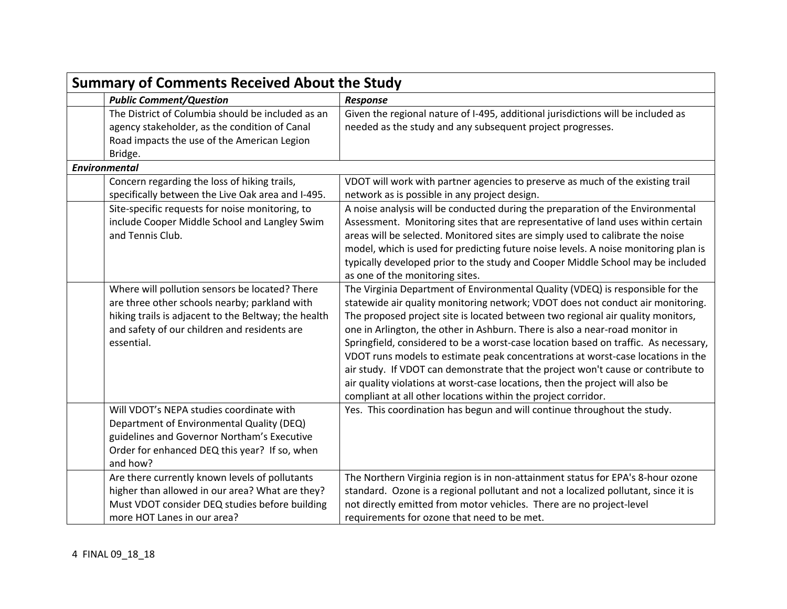| <b>Summary of Comments Received About the Study</b>                                                                                                                                                                   |                                                                                                                                                                                                                                                                                                                                                                                                                                                                                                                                                                                                                                                                                                                                                      |  |
|-----------------------------------------------------------------------------------------------------------------------------------------------------------------------------------------------------------------------|------------------------------------------------------------------------------------------------------------------------------------------------------------------------------------------------------------------------------------------------------------------------------------------------------------------------------------------------------------------------------------------------------------------------------------------------------------------------------------------------------------------------------------------------------------------------------------------------------------------------------------------------------------------------------------------------------------------------------------------------------|--|
| <b>Public Comment/Question</b>                                                                                                                                                                                        | <b>Response</b>                                                                                                                                                                                                                                                                                                                                                                                                                                                                                                                                                                                                                                                                                                                                      |  |
| The District of Columbia should be included as an<br>agency stakeholder, as the condition of Canal<br>Road impacts the use of the American Legion<br>Bridge.                                                          | Given the regional nature of I-495, additional jurisdictions will be included as<br>needed as the study and any subsequent project progresses.                                                                                                                                                                                                                                                                                                                                                                                                                                                                                                                                                                                                       |  |
| <b>Environmental</b>                                                                                                                                                                                                  |                                                                                                                                                                                                                                                                                                                                                                                                                                                                                                                                                                                                                                                                                                                                                      |  |
| Concern regarding the loss of hiking trails,<br>specifically between the Live Oak area and I-495.                                                                                                                     | VDOT will work with partner agencies to preserve as much of the existing trail<br>network as is possible in any project design.                                                                                                                                                                                                                                                                                                                                                                                                                                                                                                                                                                                                                      |  |
| Site-specific requests for noise monitoring, to<br>include Cooper Middle School and Langley Swim<br>and Tennis Club.                                                                                                  | A noise analysis will be conducted during the preparation of the Environmental<br>Assessment. Monitoring sites that are representative of land uses within certain<br>areas will be selected. Monitored sites are simply used to calibrate the noise<br>model, which is used for predicting future noise levels. A noise monitoring plan is<br>typically developed prior to the study and Cooper Middle School may be included<br>as one of the monitoring sites.                                                                                                                                                                                                                                                                                    |  |
| Where will pollution sensors be located? There<br>are three other schools nearby; parkland with<br>hiking trails is adjacent to the Beltway; the health<br>and safety of our children and residents are<br>essential. | The Virginia Department of Environmental Quality (VDEQ) is responsible for the<br>statewide air quality monitoring network; VDOT does not conduct air monitoring.<br>The proposed project site is located between two regional air quality monitors,<br>one in Arlington, the other in Ashburn. There is also a near-road monitor in<br>Springfield, considered to be a worst-case location based on traffic. As necessary,<br>VDOT runs models to estimate peak concentrations at worst-case locations in the<br>air study. If VDOT can demonstrate that the project won't cause or contribute to<br>air quality violations at worst-case locations, then the project will also be<br>compliant at all other locations within the project corridor. |  |
| Will VDOT's NEPA studies coordinate with<br>Department of Environmental Quality (DEQ)<br>guidelines and Governor Northam's Executive<br>Order for enhanced DEQ this year? If so, when<br>and how?                     | Yes. This coordination has begun and will continue throughout the study.                                                                                                                                                                                                                                                                                                                                                                                                                                                                                                                                                                                                                                                                             |  |
| Are there currently known levels of pollutants<br>higher than allowed in our area? What are they?<br>Must VDOT consider DEQ studies before building<br>more HOT Lanes in our area?                                    | The Northern Virginia region is in non-attainment status for EPA's 8-hour ozone<br>standard. Ozone is a regional pollutant and not a localized pollutant, since it is<br>not directly emitted from motor vehicles. There are no project-level<br>requirements for ozone that need to be met.                                                                                                                                                                                                                                                                                                                                                                                                                                                         |  |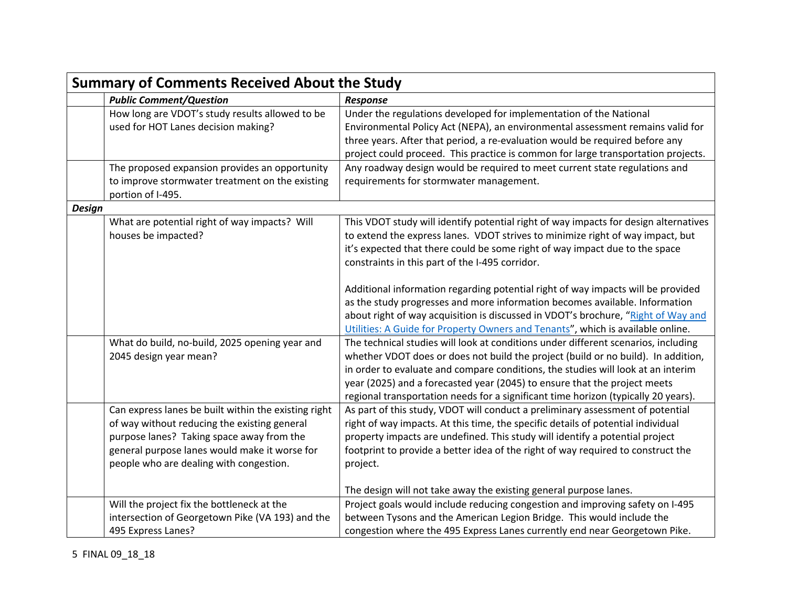|               | <b>Summary of Comments Received About the Study</b>                                                                                                                                                                                           |                                                                                                                                                                                                                                                                                                                                                                                                                                                                                                                                                                                                                                                                                                                                                                                                                                                                                                                                                                                                 |  |
|---------------|-----------------------------------------------------------------------------------------------------------------------------------------------------------------------------------------------------------------------------------------------|-------------------------------------------------------------------------------------------------------------------------------------------------------------------------------------------------------------------------------------------------------------------------------------------------------------------------------------------------------------------------------------------------------------------------------------------------------------------------------------------------------------------------------------------------------------------------------------------------------------------------------------------------------------------------------------------------------------------------------------------------------------------------------------------------------------------------------------------------------------------------------------------------------------------------------------------------------------------------------------------------|--|
|               | <b>Public Comment/Question</b>                                                                                                                                                                                                                | <b>Response</b>                                                                                                                                                                                                                                                                                                                                                                                                                                                                                                                                                                                                                                                                                                                                                                                                                                                                                                                                                                                 |  |
|               | How long are VDOT's study results allowed to be<br>used for HOT Lanes decision making?                                                                                                                                                        | Under the regulations developed for implementation of the National<br>Environmental Policy Act (NEPA), an environmental assessment remains valid for<br>three years. After that period, a re-evaluation would be required before any<br>project could proceed. This practice is common for large transportation projects.                                                                                                                                                                                                                                                                                                                                                                                                                                                                                                                                                                                                                                                                       |  |
|               | The proposed expansion provides an opportunity<br>to improve stormwater treatment on the existing<br>portion of I-495.                                                                                                                        | Any roadway design would be required to meet current state regulations and<br>requirements for stormwater management.                                                                                                                                                                                                                                                                                                                                                                                                                                                                                                                                                                                                                                                                                                                                                                                                                                                                           |  |
| <b>Design</b> |                                                                                                                                                                                                                                               |                                                                                                                                                                                                                                                                                                                                                                                                                                                                                                                                                                                                                                                                                                                                                                                                                                                                                                                                                                                                 |  |
|               | What are potential right of way impacts? Will<br>houses be impacted?<br>What do build, no-build, 2025 opening year and<br>2045 design year mean?                                                                                              | This VDOT study will identify potential right of way impacts for design alternatives<br>to extend the express lanes. VDOT strives to minimize right of way impact, but<br>it's expected that there could be some right of way impact due to the space<br>constraints in this part of the I-495 corridor.<br>Additional information regarding potential right of way impacts will be provided<br>as the study progresses and more information becomes available. Information<br>about right of way acquisition is discussed in VDOT's brochure, "Right of Way and<br>Utilities: A Guide for Property Owners and Tenants", which is available online.<br>The technical studies will look at conditions under different scenarios, including<br>whether VDOT does or does not build the project (build or no build). In addition,<br>in order to evaluate and compare conditions, the studies will look at an interim<br>year (2025) and a forecasted year (2045) to ensure that the project meets |  |
|               | Can express lanes be built within the existing right<br>of way without reducing the existing general<br>purpose lanes? Taking space away from the<br>general purpose lanes would make it worse for<br>people who are dealing with congestion. | regional transportation needs for a significant time horizon (typically 20 years).<br>As part of this study, VDOT will conduct a preliminary assessment of potential<br>right of way impacts. At this time, the specific details of potential individual<br>property impacts are undefined. This study will identify a potential project<br>footprint to provide a better idea of the right of way required to construct the<br>project.<br>The design will not take away the existing general purpose lanes.                                                                                                                                                                                                                                                                                                                                                                                                                                                                                   |  |
|               | Will the project fix the bottleneck at the<br>intersection of Georgetown Pike (VA 193) and the<br>495 Express Lanes?                                                                                                                          | Project goals would include reducing congestion and improving safety on I-495<br>between Tysons and the American Legion Bridge. This would include the<br>congestion where the 495 Express Lanes currently end near Georgetown Pike.                                                                                                                                                                                                                                                                                                                                                                                                                                                                                                                                                                                                                                                                                                                                                            |  |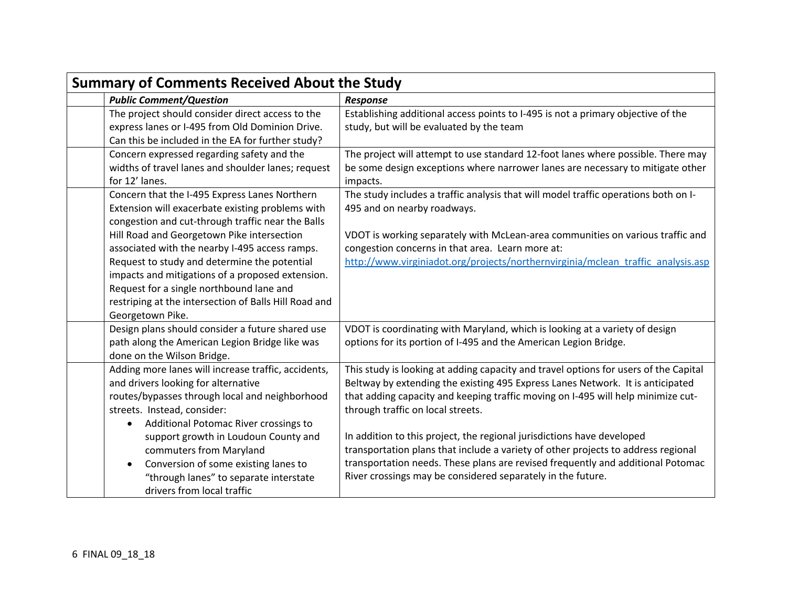| <b>Summary of Comments Received About the Study</b>                                                                                                                                                                               |                                                                                                                                                                                                                                                                                                               |  |
|-----------------------------------------------------------------------------------------------------------------------------------------------------------------------------------------------------------------------------------|---------------------------------------------------------------------------------------------------------------------------------------------------------------------------------------------------------------------------------------------------------------------------------------------------------------|--|
| <b>Public Comment/Question</b>                                                                                                                                                                                                    | <b>Response</b>                                                                                                                                                                                                                                                                                               |  |
| The project should consider direct access to the<br>express lanes or I-495 from Old Dominion Drive.<br>Can this be included in the EA for further study?                                                                          | Establishing additional access points to I-495 is not a primary objective of the<br>study, but will be evaluated by the team                                                                                                                                                                                  |  |
| Concern expressed regarding safety and the<br>widths of travel lanes and shoulder lanes; request<br>for 12' lanes.                                                                                                                | The project will attempt to use standard 12-foot lanes where possible. There may<br>be some design exceptions where narrower lanes are necessary to mitigate other<br>impacts.                                                                                                                                |  |
| Concern that the I-495 Express Lanes Northern<br>Extension will exacerbate existing problems with<br>congestion and cut-through traffic near the Balls                                                                            | The study includes a traffic analysis that will model traffic operations both on I-<br>495 and on nearby roadways.                                                                                                                                                                                            |  |
| Hill Road and Georgetown Pike intersection<br>associated with the nearby I-495 access ramps.                                                                                                                                      | VDOT is working separately with McLean-area communities on various traffic and<br>congestion concerns in that area. Learn more at:                                                                                                                                                                            |  |
| Request to study and determine the potential<br>impacts and mitigations of a proposed extension.<br>Request for a single northbound lane and<br>restriping at the intersection of Balls Hill Road and<br>Georgetown Pike.         | http://www.virginiadot.org/projects/northernvirginia/mclean traffic analysis.asp                                                                                                                                                                                                                              |  |
| Design plans should consider a future shared use<br>path along the American Legion Bridge like was<br>done on the Wilson Bridge.                                                                                                  | VDOT is coordinating with Maryland, which is looking at a variety of design<br>options for its portion of I-495 and the American Legion Bridge.                                                                                                                                                               |  |
| Adding more lanes will increase traffic, accidents,<br>and drivers looking for alternative<br>routes/bypasses through local and neighborhood<br>streets. Instead, consider:<br>Additional Potomac River crossings to<br>$\bullet$ | This study is looking at adding capacity and travel options for users of the Capital<br>Beltway by extending the existing 495 Express Lanes Network. It is anticipated<br>that adding capacity and keeping traffic moving on I-495 will help minimize cut-<br>through traffic on local streets.               |  |
| support growth in Loudoun County and<br>commuters from Maryland<br>Conversion of some existing lanes to<br>$\bullet$<br>"through lanes" to separate interstate<br>drivers from local traffic                                      | In addition to this project, the regional jurisdictions have developed<br>transportation plans that include a variety of other projects to address regional<br>transportation needs. These plans are revised frequently and additional Potomac<br>River crossings may be considered separately in the future. |  |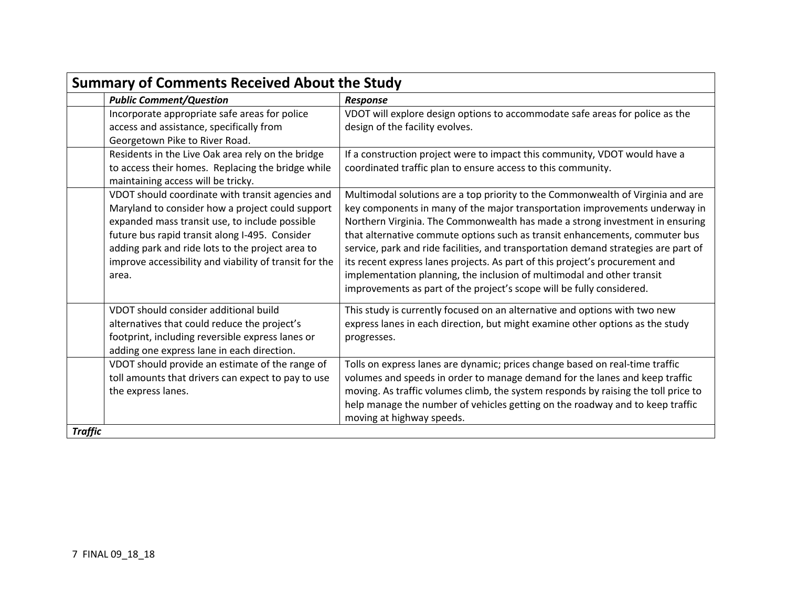| <b>Summary of Comments Received About the Study</b>                                                                                                                                                                                                                                                                             |                                                                                                                                                                                                                                                                                                                                                                                                                                                                                                                                                                                                                                                         |  |
|---------------------------------------------------------------------------------------------------------------------------------------------------------------------------------------------------------------------------------------------------------------------------------------------------------------------------------|---------------------------------------------------------------------------------------------------------------------------------------------------------------------------------------------------------------------------------------------------------------------------------------------------------------------------------------------------------------------------------------------------------------------------------------------------------------------------------------------------------------------------------------------------------------------------------------------------------------------------------------------------------|--|
| <b>Public Comment/Question</b>                                                                                                                                                                                                                                                                                                  | Response                                                                                                                                                                                                                                                                                                                                                                                                                                                                                                                                                                                                                                                |  |
| Incorporate appropriate safe areas for police<br>access and assistance, specifically from<br>Georgetown Pike to River Road.                                                                                                                                                                                                     | VDOT will explore design options to accommodate safe areas for police as the<br>design of the facility evolves.                                                                                                                                                                                                                                                                                                                                                                                                                                                                                                                                         |  |
| Residents in the Live Oak area rely on the bridge<br>to access their homes. Replacing the bridge while<br>maintaining access will be tricky.                                                                                                                                                                                    | If a construction project were to impact this community, VDOT would have a<br>coordinated traffic plan to ensure access to this community.                                                                                                                                                                                                                                                                                                                                                                                                                                                                                                              |  |
| VDOT should coordinate with transit agencies and<br>Maryland to consider how a project could support<br>expanded mass transit use, to include possible<br>future bus rapid transit along I-495. Consider<br>adding park and ride lots to the project area to<br>improve accessibility and viability of transit for the<br>area. | Multimodal solutions are a top priority to the Commonwealth of Virginia and are<br>key components in many of the major transportation improvements underway in<br>Northern Virginia. The Commonwealth has made a strong investment in ensuring<br>that alternative commute options such as transit enhancements, commuter bus<br>service, park and ride facilities, and transportation demand strategies are part of<br>its recent express lanes projects. As part of this project's procurement and<br>implementation planning, the inclusion of multimodal and other transit<br>improvements as part of the project's scope will be fully considered. |  |
| VDOT should consider additional build<br>alternatives that could reduce the project's<br>footprint, including reversible express lanes or<br>adding one express lane in each direction.                                                                                                                                         | This study is currently focused on an alternative and options with two new<br>express lanes in each direction, but might examine other options as the study<br>progresses.                                                                                                                                                                                                                                                                                                                                                                                                                                                                              |  |
| VDOT should provide an estimate of the range of<br>toll amounts that drivers can expect to pay to use<br>the express lanes.                                                                                                                                                                                                     | Tolls on express lanes are dynamic; prices change based on real-time traffic<br>volumes and speeds in order to manage demand for the lanes and keep traffic<br>moving. As traffic volumes climb, the system responds by raising the toll price to<br>help manage the number of vehicles getting on the roadway and to keep traffic<br>moving at highway speeds.                                                                                                                                                                                                                                                                                         |  |
| <b>Traffic</b>                                                                                                                                                                                                                                                                                                                  |                                                                                                                                                                                                                                                                                                                                                                                                                                                                                                                                                                                                                                                         |  |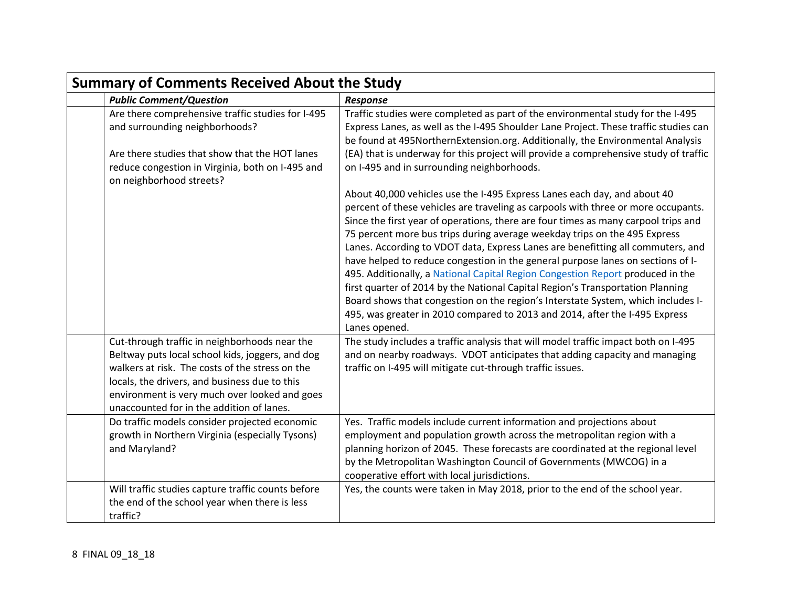| <b>Summary of Comments Received About the Study</b>                                                                                                                                                                                                                                                 |                                                                                                                                                                                                                                                                                                                                                                                                                                                                                                                                                                                                                                                                                                                                                                                                                                                                |  |
|-----------------------------------------------------------------------------------------------------------------------------------------------------------------------------------------------------------------------------------------------------------------------------------------------------|----------------------------------------------------------------------------------------------------------------------------------------------------------------------------------------------------------------------------------------------------------------------------------------------------------------------------------------------------------------------------------------------------------------------------------------------------------------------------------------------------------------------------------------------------------------------------------------------------------------------------------------------------------------------------------------------------------------------------------------------------------------------------------------------------------------------------------------------------------------|--|
| <b>Public Comment/Question</b>                                                                                                                                                                                                                                                                      | Response                                                                                                                                                                                                                                                                                                                                                                                                                                                                                                                                                                                                                                                                                                                                                                                                                                                       |  |
| Are there comprehensive traffic studies for I-495<br>and surrounding neighborhoods?<br>Are there studies that show that the HOT lanes<br>reduce congestion in Virginia, both on I-495 and<br>on neighborhood streets?                                                                               | Traffic studies were completed as part of the environmental study for the I-495<br>Express Lanes, as well as the I-495 Shoulder Lane Project. These traffic studies can<br>be found at 495NorthernExtension.org. Additionally, the Environmental Analysis<br>(EA) that is underway for this project will provide a comprehensive study of traffic<br>on I-495 and in surrounding neighborhoods.                                                                                                                                                                                                                                                                                                                                                                                                                                                                |  |
|                                                                                                                                                                                                                                                                                                     | About 40,000 vehicles use the I-495 Express Lanes each day, and about 40<br>percent of these vehicles are traveling as carpools with three or more occupants.<br>Since the first year of operations, there are four times as many carpool trips and<br>75 percent more bus trips during average weekday trips on the 495 Express<br>Lanes. According to VDOT data, Express Lanes are benefitting all commuters, and<br>have helped to reduce congestion in the general purpose lanes on sections of I-<br>495. Additionally, a National Capital Region Congestion Report produced in the<br>first quarter of 2014 by the National Capital Region's Transportation Planning<br>Board shows that congestion on the region's Interstate System, which includes I-<br>495, was greater in 2010 compared to 2013 and 2014, after the I-495 Express<br>Lanes opened. |  |
| Cut-through traffic in neighborhoods near the<br>Beltway puts local school kids, joggers, and dog<br>walkers at risk. The costs of the stress on the<br>locals, the drivers, and business due to this<br>environment is very much over looked and goes<br>unaccounted for in the addition of lanes. | The study includes a traffic analysis that will model traffic impact both on I-495<br>and on nearby roadways. VDOT anticipates that adding capacity and managing<br>traffic on I-495 will mitigate cut-through traffic issues.                                                                                                                                                                                                                                                                                                                                                                                                                                                                                                                                                                                                                                 |  |
| Do traffic models consider projected economic<br>growth in Northern Virginia (especially Tysons)<br>and Maryland?                                                                                                                                                                                   | Yes. Traffic models include current information and projections about<br>employment and population growth across the metropolitan region with a<br>planning horizon of 2045. These forecasts are coordinated at the regional level<br>by the Metropolitan Washington Council of Governments (MWCOG) in a<br>cooperative effort with local jurisdictions.                                                                                                                                                                                                                                                                                                                                                                                                                                                                                                       |  |
| Will traffic studies capture traffic counts before<br>the end of the school year when there is less<br>traffic?                                                                                                                                                                                     | Yes, the counts were taken in May 2018, prior to the end of the school year.                                                                                                                                                                                                                                                                                                                                                                                                                                                                                                                                                                                                                                                                                                                                                                                   |  |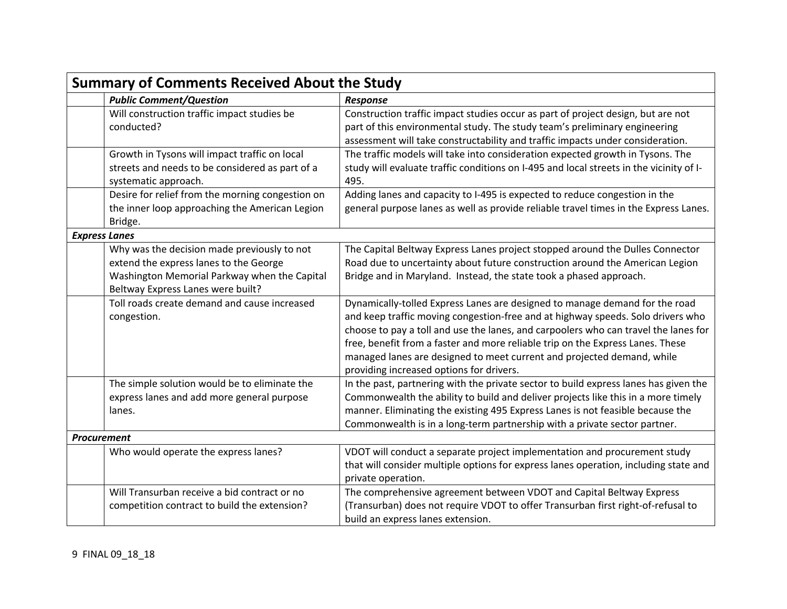| <b>Summary of Comments Received About the Study</b> |                                                                                                                                                                            |                                                                                                                                                                                                                                                                                                                                                                                                                                                               |
|-----------------------------------------------------|----------------------------------------------------------------------------------------------------------------------------------------------------------------------------|---------------------------------------------------------------------------------------------------------------------------------------------------------------------------------------------------------------------------------------------------------------------------------------------------------------------------------------------------------------------------------------------------------------------------------------------------------------|
|                                                     | <b>Public Comment/Question</b>                                                                                                                                             | <b>Response</b>                                                                                                                                                                                                                                                                                                                                                                                                                                               |
| conducted?                                          | Will construction traffic impact studies be                                                                                                                                | Construction traffic impact studies occur as part of project design, but are not<br>part of this environmental study. The study team's preliminary engineering<br>assessment will take constructability and traffic impacts under consideration.                                                                                                                                                                                                              |
|                                                     | Growth in Tysons will impact traffic on local<br>streets and needs to be considered as part of a<br>systematic approach.                                                   | The traffic models will take into consideration expected growth in Tysons. The<br>study will evaluate traffic conditions on I-495 and local streets in the vicinity of I-<br>495.                                                                                                                                                                                                                                                                             |
| Bridge.                                             | Desire for relief from the morning congestion on<br>the inner loop approaching the American Legion                                                                         | Adding lanes and capacity to I-495 is expected to reduce congestion in the<br>general purpose lanes as well as provide reliable travel times in the Express Lanes.                                                                                                                                                                                                                                                                                            |
| <b>Express Lanes</b>                                |                                                                                                                                                                            |                                                                                                                                                                                                                                                                                                                                                                                                                                                               |
|                                                     | Why was the decision made previously to not<br>extend the express lanes to the George<br>Washington Memorial Parkway when the Capital<br>Beltway Express Lanes were built? | The Capital Beltway Express Lanes project stopped around the Dulles Connector<br>Road due to uncertainty about future construction around the American Legion<br>Bridge and in Maryland. Instead, the state took a phased approach.                                                                                                                                                                                                                           |
| congestion.                                         | Toll roads create demand and cause increased                                                                                                                               | Dynamically-tolled Express Lanes are designed to manage demand for the road<br>and keep traffic moving congestion-free and at highway speeds. Solo drivers who<br>choose to pay a toll and use the lanes, and carpoolers who can travel the lanes for<br>free, benefit from a faster and more reliable trip on the Express Lanes. These<br>managed lanes are designed to meet current and projected demand, while<br>providing increased options for drivers. |
| lanes.                                              | The simple solution would be to eliminate the<br>express lanes and add more general purpose                                                                                | In the past, partnering with the private sector to build express lanes has given the<br>Commonwealth the ability to build and deliver projects like this in a more timely<br>manner. Eliminating the existing 495 Express Lanes is not feasible because the<br>Commonwealth is in a long-term partnership with a private sector partner.                                                                                                                      |
| <b>Procurement</b>                                  |                                                                                                                                                                            |                                                                                                                                                                                                                                                                                                                                                                                                                                                               |
|                                                     | Who would operate the express lanes?                                                                                                                                       | VDOT will conduct a separate project implementation and procurement study<br>that will consider multiple options for express lanes operation, including state and<br>private operation.                                                                                                                                                                                                                                                                       |
|                                                     | Will Transurban receive a bid contract or no<br>competition contract to build the extension?                                                                               | The comprehensive agreement between VDOT and Capital Beltway Express<br>(Transurban) does not require VDOT to offer Transurban first right-of-refusal to<br>build an express lanes extension.                                                                                                                                                                                                                                                                 |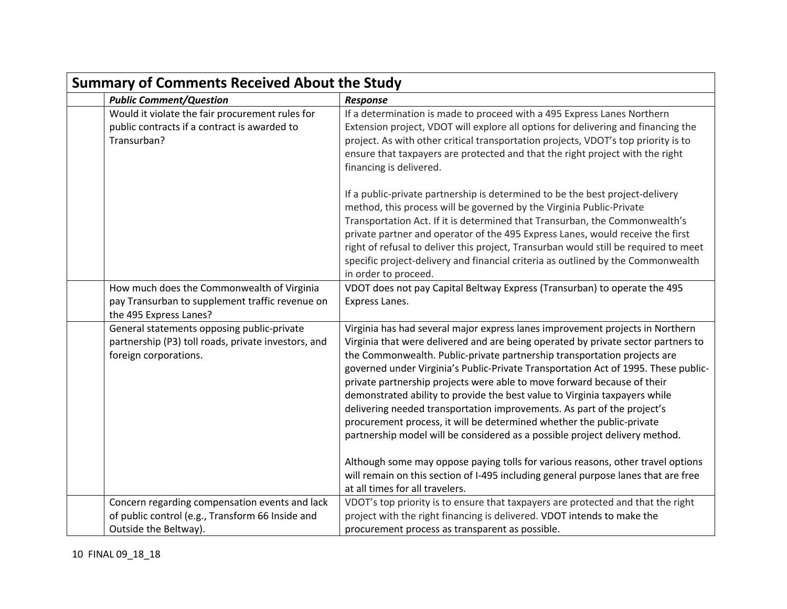| <b>Summary of Comments Received About the Study</b>                                                                         |                                                                                                                                                                                                                                                                                                                                                                                                                                                                                                                                                                                                                                                                                                                                                                                                                                                                                                                                              |  |
|-----------------------------------------------------------------------------------------------------------------------------|----------------------------------------------------------------------------------------------------------------------------------------------------------------------------------------------------------------------------------------------------------------------------------------------------------------------------------------------------------------------------------------------------------------------------------------------------------------------------------------------------------------------------------------------------------------------------------------------------------------------------------------------------------------------------------------------------------------------------------------------------------------------------------------------------------------------------------------------------------------------------------------------------------------------------------------------|--|
| <b>Public Comment/Question</b>                                                                                              | <b>Response</b>                                                                                                                                                                                                                                                                                                                                                                                                                                                                                                                                                                                                                                                                                                                                                                                                                                                                                                                              |  |
| Would it violate the fair procurement rules for<br>public contracts if a contract is awarded to<br>Transurban?              | If a determination is made to proceed with a 495 Express Lanes Northern<br>Extension project, VDOT will explore all options for delivering and financing the<br>project. As with other critical transportation projects, VDOT's top priority is to<br>ensure that taxpayers are protected and that the right project with the right<br>financing is delivered.                                                                                                                                                                                                                                                                                                                                                                                                                                                                                                                                                                               |  |
|                                                                                                                             | If a public-private partnership is determined to be the best project-delivery<br>method, this process will be governed by the Virginia Public-Private<br>Transportation Act. If it is determined that Transurban, the Commonwealth's<br>private partner and operator of the 495 Express Lanes, would receive the first<br>right of refusal to deliver this project, Transurban would still be required to meet<br>specific project-delivery and financial criteria as outlined by the Commonwealth<br>in order to proceed.                                                                                                                                                                                                                                                                                                                                                                                                                   |  |
| How much does the Commonwealth of Virginia<br>pay Transurban to supplement traffic revenue on<br>the 495 Express Lanes?     | VDOT does not pay Capital Beltway Express (Transurban) to operate the 495<br>Express Lanes.                                                                                                                                                                                                                                                                                                                                                                                                                                                                                                                                                                                                                                                                                                                                                                                                                                                  |  |
| General statements opposing public-private<br>partnership (P3) toll roads, private investors, and<br>foreign corporations.  | Virginia has had several major express lanes improvement projects in Northern<br>Virginia that were delivered and are being operated by private sector partners to<br>the Commonwealth. Public-private partnership transportation projects are<br>governed under Virginia's Public-Private Transportation Act of 1995. These public-<br>private partnership projects were able to move forward because of their<br>demonstrated ability to provide the best value to Virginia taxpayers while<br>delivering needed transportation improvements. As part of the project's<br>procurement process, it will be determined whether the public-private<br>partnership model will be considered as a possible project delivery method.<br>Although some may oppose paying tolls for various reasons, other travel options<br>will remain on this section of I-495 including general purpose lanes that are free<br>at all times for all travelers. |  |
| Concern regarding compensation events and lack<br>of public control (e.g., Transform 66 Inside and<br>Outside the Beltway). | VDOT's top priority is to ensure that taxpayers are protected and that the right<br>project with the right financing is delivered. VDOT intends to make the<br>procurement process as transparent as possible.                                                                                                                                                                                                                                                                                                                                                                                                                                                                                                                                                                                                                                                                                                                               |  |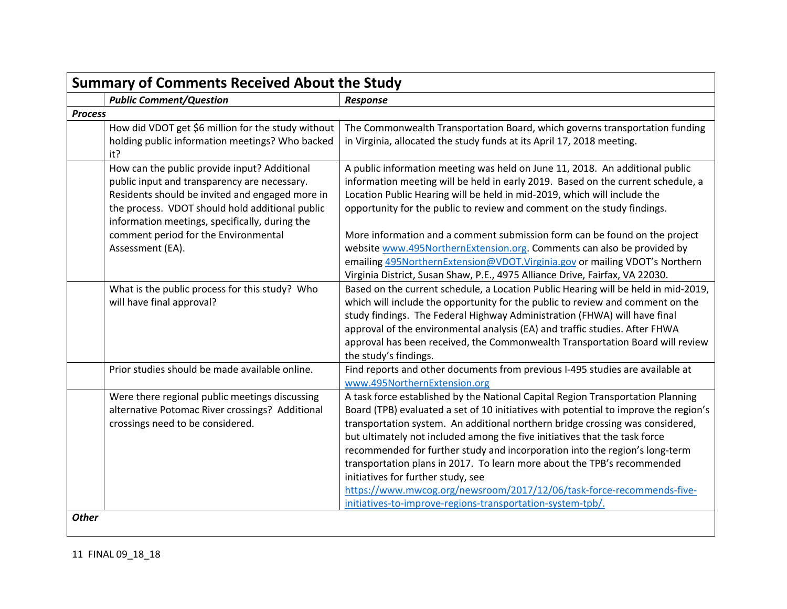|                | <b>Summary of Comments Received About the Study</b>                                                                                                                                                                                                                                                                                                                |                                                                                                                                                                                                                                                                                                                                                                                                                                                                                                                                                                                                                                                                                                                                     |  |
|----------------|--------------------------------------------------------------------------------------------------------------------------------------------------------------------------------------------------------------------------------------------------------------------------------------------------------------------------------------------------------------------|-------------------------------------------------------------------------------------------------------------------------------------------------------------------------------------------------------------------------------------------------------------------------------------------------------------------------------------------------------------------------------------------------------------------------------------------------------------------------------------------------------------------------------------------------------------------------------------------------------------------------------------------------------------------------------------------------------------------------------------|--|
|                | <b>Public Comment/Question</b>                                                                                                                                                                                                                                                                                                                                     | <b>Response</b>                                                                                                                                                                                                                                                                                                                                                                                                                                                                                                                                                                                                                                                                                                                     |  |
| <b>Process</b> |                                                                                                                                                                                                                                                                                                                                                                    |                                                                                                                                                                                                                                                                                                                                                                                                                                                                                                                                                                                                                                                                                                                                     |  |
|                | How did VDOT get \$6 million for the study without<br>holding public information meetings? Who backed<br>it?                                                                                                                                                                                                                                                       | The Commonwealth Transportation Board, which governs transportation funding<br>in Virginia, allocated the study funds at its April 17, 2018 meeting.                                                                                                                                                                                                                                                                                                                                                                                                                                                                                                                                                                                |  |
|                | How can the public provide input? Additional<br>public input and transparency are necessary.<br>Residents should be invited and engaged more in<br>the process. VDOT should hold additional public<br>information meetings, specifically, during the<br>comment period for the Environmental<br>Assessment (EA).<br>What is the public process for this study? Who | A public information meeting was held on June 11, 2018. An additional public<br>information meeting will be held in early 2019. Based on the current schedule, a<br>Location Public Hearing will be held in mid-2019, which will include the<br>opportunity for the public to review and comment on the study findings.<br>More information and a comment submission form can be found on the project<br>website www.495NorthernExtension.org. Comments can also be provided by<br>emailing 495NorthernExtension@VDOT.Virginia.gov or mailing VDOT's Northern<br>Virginia District, Susan Shaw, P.E., 4975 Alliance Drive, Fairfax, VA 22030.<br>Based on the current schedule, a Location Public Hearing will be held in mid-2019, |  |
|                | will have final approval?                                                                                                                                                                                                                                                                                                                                          | which will include the opportunity for the public to review and comment on the<br>study findings. The Federal Highway Administration (FHWA) will have final<br>approval of the environmental analysis (EA) and traffic studies. After FHWA<br>approval has been received, the Commonwealth Transportation Board will review<br>the study's findings.                                                                                                                                                                                                                                                                                                                                                                                |  |
|                | Prior studies should be made available online.                                                                                                                                                                                                                                                                                                                     | Find reports and other documents from previous I-495 studies are available at<br>www.495NorthernExtension.org                                                                                                                                                                                                                                                                                                                                                                                                                                                                                                                                                                                                                       |  |
|                | Were there regional public meetings discussing<br>alternative Potomac River crossings? Additional<br>crossings need to be considered.                                                                                                                                                                                                                              | A task force established by the National Capital Region Transportation Planning<br>Board (TPB) evaluated a set of 10 initiatives with potential to improve the region's<br>transportation system. An additional northern bridge crossing was considered,<br>but ultimately not included among the five initiatives that the task force<br>recommended for further study and incorporation into the region's long-term<br>transportation plans in 2017. To learn more about the TPB's recommended<br>initiatives for further study, see<br>https://www.mwcog.org/newsroom/2017/12/06/task-force-recommends-five-<br>initiatives-to-improve-regions-transportation-system-tpb/.                                                       |  |
| <b>Other</b>   |                                                                                                                                                                                                                                                                                                                                                                    |                                                                                                                                                                                                                                                                                                                                                                                                                                                                                                                                                                                                                                                                                                                                     |  |